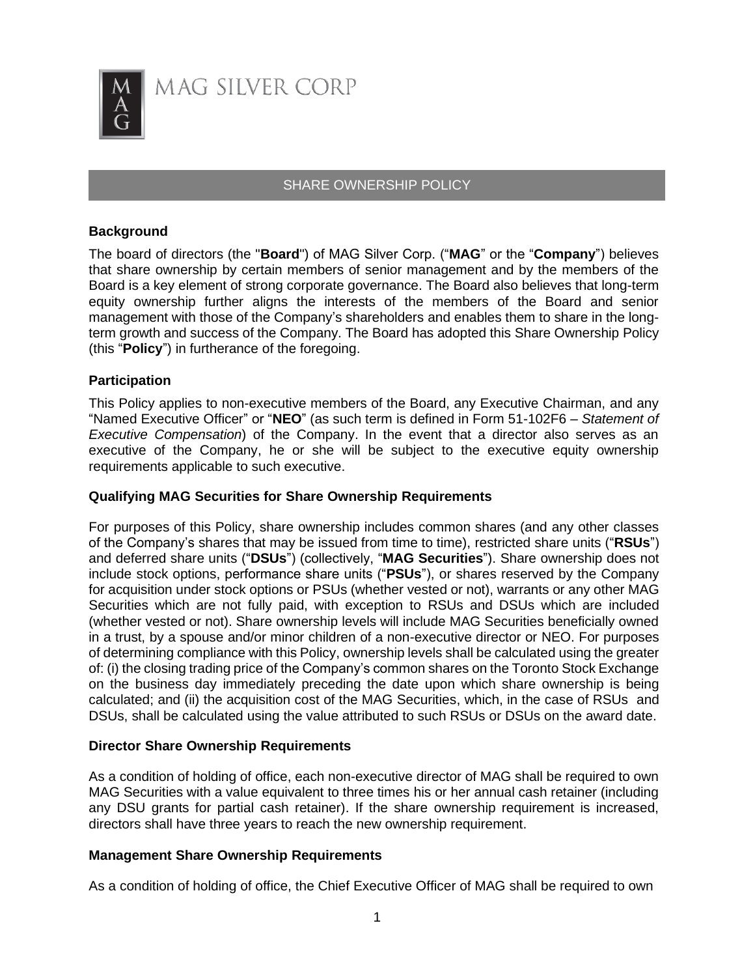

# SHARE OWNERSHIP POLICY

## **Background**

The board of directors (the "**Board**") of MAG Silver Corp. ("**MAG**" or the "**Company**") believes that share ownership by certain members of senior management and by the members of the Board is a key element of strong corporate governance. The Board also believes that long-term equity ownership further aligns the interests of the members of the Board and senior management with those of the Company's shareholders and enables them to share in the longterm growth and success of the Company. The Board has adopted this Share Ownership Policy (this "**Policy**") in furtherance of the foregoing.

## **Participation**

This Policy applies to non-executive members of the Board, any Executive Chairman, and any "Named Executive Officer" or "**NEO**" (as such term is defined in Form 51-102F6 – *Statement of Executive Compensation*) of the Company. In the event that a director also serves as an executive of the Company, he or she will be subject to the executive equity ownership requirements applicable to such executive.

### **Qualifying MAG Securities for Share Ownership Requirements**

For purposes of this Policy, share ownership includes common shares (and any other classes of the Company's shares that may be issued from time to time), restricted share units ("**RSUs**") and deferred share units ("**DSUs**") (collectively, "**MAG Securities**"). Share ownership does not include stock options, performance share units ("**PSUs**"), or shares reserved by the Company for acquisition under stock options or PSUs (whether vested or not), warrants or any other MAG Securities which are not fully paid, with exception to RSUs and DSUs which are included (whether vested or not). Share ownership levels will include MAG Securities beneficially owned in a trust, by a spouse and/or minor children of a non-executive director or NEO. For purposes of determining compliance with this Policy, ownership levels shall be calculated using the greater of: (i) the closing trading price of the Company's common shares on the Toronto Stock Exchange on the business day immediately preceding the date upon which share ownership is being calculated; and (ii) the acquisition cost of the MAG Securities, which, in the case of RSUs and DSUs, shall be calculated using the value attributed to such RSUs or DSUs on the award date.

# **Director Share Ownership Requirements**

As a condition of holding of office, each non-executive director of MAG shall be required to own MAG Securities with a value equivalent to three times his or her annual cash retainer (including any DSU grants for partial cash retainer). If the share ownership requirement is increased, directors shall have three years to reach the new ownership requirement.

### **Management Share Ownership Requirements**

As a condition of holding of office, the Chief Executive Officer of MAG shall be required to own